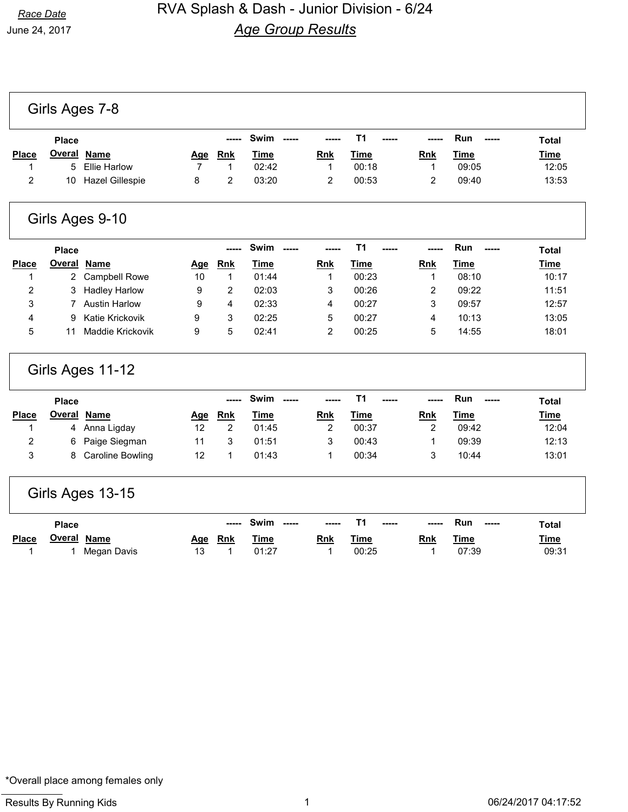|                |                | Girls Ages 7-8          |                |                         |               |                |                |                |              |              |
|----------------|----------------|-------------------------|----------------|-------------------------|---------------|----------------|----------------|----------------|--------------|--------------|
|                | <b>Place</b>   |                         |                |                         | Swim -----    |                | T1             |                | Run<br>----- | <b>Total</b> |
| Place          | <b>Overal</b>  | <b>Name</b>             | <u>Age</u>     | <b>Rnk</b>              | <b>Time</b>   | <b>Rnk</b>     | <b>Time</b>    | <b>Rnk</b>     | <b>Time</b>  | <b>Time</b>  |
| 1              | 5              | <b>Ellie Harlow</b>     | $\overline{7}$ | 1                       | 02:42         | 1              | 00:18          | $\mathbf{1}$   | 09:05        | 12:05        |
| 2              | 10             | <b>Hazel Gillespie</b>  | 8              | $\overline{\mathbf{c}}$ | 03:20         | 2              | 00:53          | $\overline{c}$ | 09:40        | 13:53        |
|                |                | Girls Ages 9-10         |                |                         |               |                |                |                |              |              |
|                | <b>Place</b>   |                         |                |                         | Swim<br>$---$ |                | T <sub>1</sub> |                | Run          | <b>Total</b> |
| Place          | <u>Overal</u>  | <b>Name</b>             | <u>Age</u>     | Rnk                     | <b>Time</b>   | Rnk            | <b>Time</b>    | Rnk            | <b>Time</b>  | <b>Time</b>  |
| 1              | $\overline{2}$ | <b>Campbell Rowe</b>    | 10             | $\mathbf{1}$            | 01:44         | 1              | 00:23          | 1              | 08:10        | 10:17        |
| $\overline{2}$ | 3              | <b>Hadley Harlow</b>    | 9              | 2                       | 02:03         | 3              | 00:26          | 2              | 09:22        | 11:51        |
| 3              | 7              | <b>Austin Harlow</b>    | 9              | 4                       | 02:33         | 4              | 00:27          | 3              | 09:57        | 12:57        |
| 4              | 9              | Katie Krickovik         | 9              | 3                       | 02:25         | 5              | 00:27          | 4              | 10:13        | 13:05        |
| 5              | 11             | Maddie Krickovik        | 9              | 5                       | 02:41         | 2              | 00:25          | 5              | 14:55        | 18:01        |
|                |                | Girls Ages 11-12        |                |                         |               |                |                |                |              |              |
|                | <b>Place</b>   |                         |                | $---$                   | Swim<br>$---$ |                | T <sub>1</sub> |                | Run          | <b>Total</b> |
| <b>Place</b>   | <b>Overal</b>  | <b>Name</b>             | Age            | Rnk                     | <b>Time</b>   | Rnk            | <u>Time</u>    | Rnk            | <b>Time</b>  | Time         |
| 1              | 4              | Anna Ligday             | 12             | $\overline{c}$          | 01:45         | $\overline{c}$ | 00:37          | $\overline{2}$ | 09:42        | 12:04        |
| 2              | 6              | Paige Siegman           | 11             | 3                       | 01:51         | 3              | 00:43          | 1              | 09:39        | 12:13        |
| 3              | 8              | <b>Caroline Bowling</b> | 12             | 1                       | 01:43         | 1              | 00:34          | 3              | 10:44        | 13:01        |
|                |                | Girls Ages 13-15        |                |                         |               |                |                |                |              |              |
|                | <b>Place</b>   |                         |                |                         | Swim<br>$---$ |                | T <sub>1</sub> |                | Run          | <b>Total</b> |
| Place          | <b>Overal</b>  | <b>Name</b>             | <u>Age</u>     | <b>Rnk</b>              | <b>Time</b>   | <b>Rnk</b>     | <u>Time</u>    | <u>Rnk</u>     | <b>Time</b>  | <u>Time</u>  |
| 1              | 1              | Megan Davis             | 13             | 1                       | 01:27         | 1              | 00:25          | 1              | 07:39        | 09:31        |

\*Overall place among females only

٦